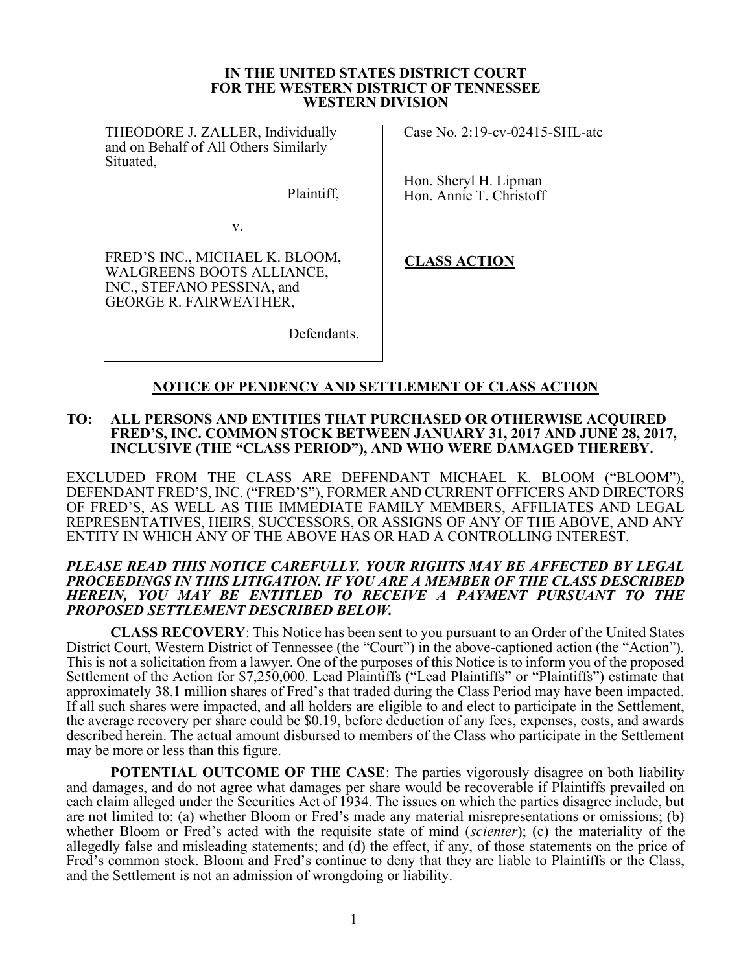#### IN THE UNITED STATES DISTRICT COURT FOR THE WESTERN DISTRICT OF TENNESSEE WESTERN DIVISION

THEODORE J. ZALLER, Individually and on Behalf of All Others Similarly Situated,

Plaintiff,

Defendants.

Case No. 2:19-cv-02415-SHL-atc

Hon. Sheryl H. Lipman Hon. Annie T. Christoff

v.

FRED'S INC., MICHAEL K. BLOOM, WALGREENS BOOTS ALLIANCE, INC., STEFANO PESSINA, and GEORGE R. FAIRWEATHER,

CLASS ACTION

# NOTICE OF PENDENCY AND SETTLEMENT OF CLASS ACTION

#### TO: ALL PERSONS AND ENTITIES THAT PURCHASED OR OTHERWISE ACQUIRED FRED'S, INC. COMMON STOCK BETWEEN JANUARY 31, 2017 AND JUNE 28, 2017, INCLUSIVE (THE "CLASS PERIOD"), AND WHO WERE DAMAGED THEREBY.

EXCLUDED FROM THE CLASS ARE DEFENDANT MICHAEL K. BLOOM ("BLOOM"), DEFENDANT FRED'S, INC. ("FRED'S"), FORMER AND CURRENT OFFICERS AND DIRECTORS OF FRED'S, AS WELL AS THE IMMEDIATE FAMILY MEMBERS, AFFILIATES AND LEGAL REPRESENTATIVES, HEIRS, SUCCESSORS, OR ASSIGNS OF ANY OF THE ABOVE, AND ANY ENTITY IN WHICH ANY OF THE ABOVE HAS OR HAD A CONTROLLING INTEREST.

#### PLEASE READ THIS NOTICE CAREFULLY. YOUR RIGHTS MAY BE AFFECTED BY LEGAL PROCEEDINGS IN THIS LITIGATION. IF YOU ARE A MEMBER OF THE CLASS DESCRIBED HEREIN, YOU MAY BE ENTITLED TO RECEIVE A PAYMENT PURSUANT TO THE PROPOSED SETTLEMENT DESCRIBED BELOW.

CLASS RECOVERY: This Notice has been sent to you pursuant to an Order of the United States District Court, Western District of Tennessee (the "Court") in the above-captioned action (the "Action"). This is not a solicitation from a lawyer. One of the purposes of this Notice is to inform you of the proposed Settlement of the Action for \$7,250,000. Lead Plaintiffs ("Lead Plaintiffs" or "Plaintiffs") estimate that approximately 38.1 million shares of Fred's that traded during the Class Period may have been impacted. If all such shares were impacted, and all holders are eligible to and elect to participate in the Settlement, the average recovery per share could be \$0.19, before deduction of any fees, expenses, costs, and awards described herein. The actual amount disbursed to members of the Class who participate in the Settlement may be more or less than this figure.

POTENTIAL OUTCOME OF THE CASE: The parties vigorously disagree on both liability and damages, and do not agree what damages per share would be recoverable if Plaintiffs prevailed on each claim alleged under the Securities Act of 1934. The issues on which the parties disagree include, but are not limited to: (a) whether Bloom or Fred's made any material misrepresentations or omissions; (b) whether Bloom or Fred's acted with the requisite state of mind *(scienter)*; (c) the materiality of the allegedly false and misleading statements; and (d) the effect, if any, of those statements on the price of Fred's common stock. Bloom and Fred's continue to deny that they are liable to Plaintiffs or the Class, and the Settlement is not an admission of wrongdoing or liability.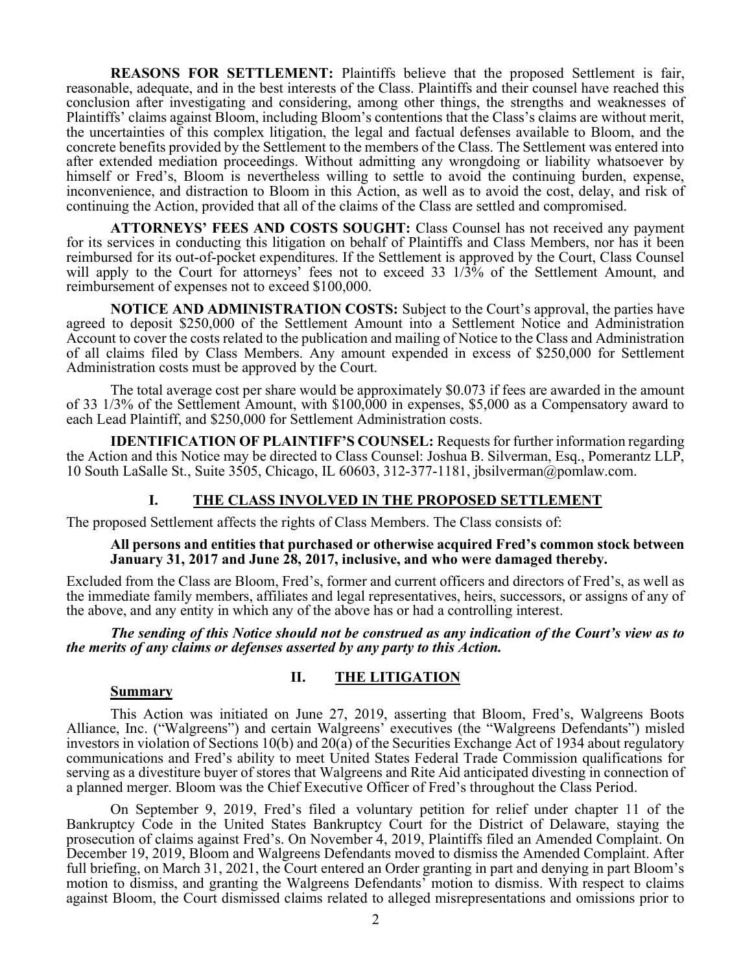REASONS FOR SETTLEMENT: Plaintiffs believe that the proposed Settlement is fair, reasonable, adequate, and in the best interests of the Class. Plaintiffs and their counsel have reached this conclusion after investigating and considering, among other things, the strengths and weaknesses of Plaintiffs' claims against Bloom, including Bloom's contentions that the Class's claims are without merit, the uncertainties of this complex litigation, the legal and factual defenses available to Bloom, and the concrete benefits provided by the Settlement to the members of the Class. The Settlement was entered into after extended mediation proceedings. Without admitting any wrongdoing or liability whatsoever by himself or Fred's, Bloom is nevertheless willing to settle to avoid the continuing burden, expense, inconvenience, and distraction to Bloom in this Action, as well as to avoid the cost, delay, and risk of continuing the Action, provided that all of the claims of the Class are settled and compromised.

ATTORNEYS' FEES AND COSTS SOUGHT: Class Counsel has not received any payment for its services in conducting this litigation on behalf of Plaintiffs and Class Members, nor has it been reimbursed for its out-of-pocket expenditures. If the Settlement is approved by the Court, Class Counsel will apply to the Court for attorneys' fees not to exceed 33 1/3% of the Settlement Amount, and reimbursement of expenses not to exceed \$100,000.

NOTICE AND ADMINISTRATION COSTS: Subject to the Court's approval, the parties have agreed to deposit \$250,000 of the Settlement Amount into a Settlement Notice and Administration Account to cover the costs related to the publication and mailing of Notice to the Class and Administration of all claims filed by Class Members. Any amount expended in excess of \$250,000 for Settlement Administration costs must be approved by the Court.

The total average cost per share would be approximately \$0.073 if fees are awarded in the amount of 33 1/3% of the Settlement Amount, with \$100,000 in expenses, \$5,000 as a Compensatory award to each Lead Plaintiff, and \$250,000 for Settlement Administration costs.

IDENTIFICATION OF PLAINTIFF'S COUNSEL: Requests for further information regarding the Action and this Notice may be directed to Class Counsel: Joshua B. Silverman, Esq., Pomerantz LLP, 10 South LaSalle St., Suite 3505, Chicago, IL 60603, 312-377-1181, jbsilverman@pomlaw.com.

# I. THE CLASS INVOLVED IN THE PROPOSED SETTLEMENT

The proposed Settlement affects the rights of Class Members. The Class consists of:

#### All persons and entities that purchased or otherwise acquired Fred's common stock between January 31, 2017 and June 28, 2017, inclusive, and who were damaged thereby.

Excluded from the Class are Bloom, Fred's, former and current officers and directors of Fred's, as well as the immediate family members, affiliates and legal representatives, heirs, successors, or assigns of any of the above, and any entity in which any of the above has or had a controlling interest.

The sending of this Notice should not be construed as any indication of the Court's view as to the merits of any claims or defenses asserted by any party to this Action.

# II. THE LITIGATION

#### Summary

This Action was initiated on June 27, 2019, asserting that Bloom, Fred's, Walgreens Boots Alliance, Inc. ("Walgreens") and certain Walgreens' executives (the "Walgreens Defendants") misled investors in violation of Sections 10(b) and 20(a) of the Securities Exchange Act of 1934 about regulatory communications and Fred's ability to meet United States Federal Trade Commission qualifications for serving as a divestiture buyer of stores that Walgreens and Rite Aid anticipated divesting in connection of a planned merger. Bloom was the Chief Executive Officer of Fred's throughout the Class Period.

On September 9, 2019, Fred's filed a voluntary petition for relief under chapter 11 of the Bankruptcy Code in the United States Bankruptcy Court for the District of Delaware, staying the prosecution of claims against Fred's. On November 4, 2019, Plaintiffs filed an Amended Complaint. On December 19, 2019, Bloom and Walgreens Defendants moved to dismiss the Amended Complaint. After full briefing, on March 31, 2021, the Court entered an Order granting in part and denying in part Bloom's motion to dismiss, and granting the Walgreens Defendants' motion to dismiss. With respect to claims against Bloom, the Court dismissed claims related to alleged misrepresentations and omissions prior to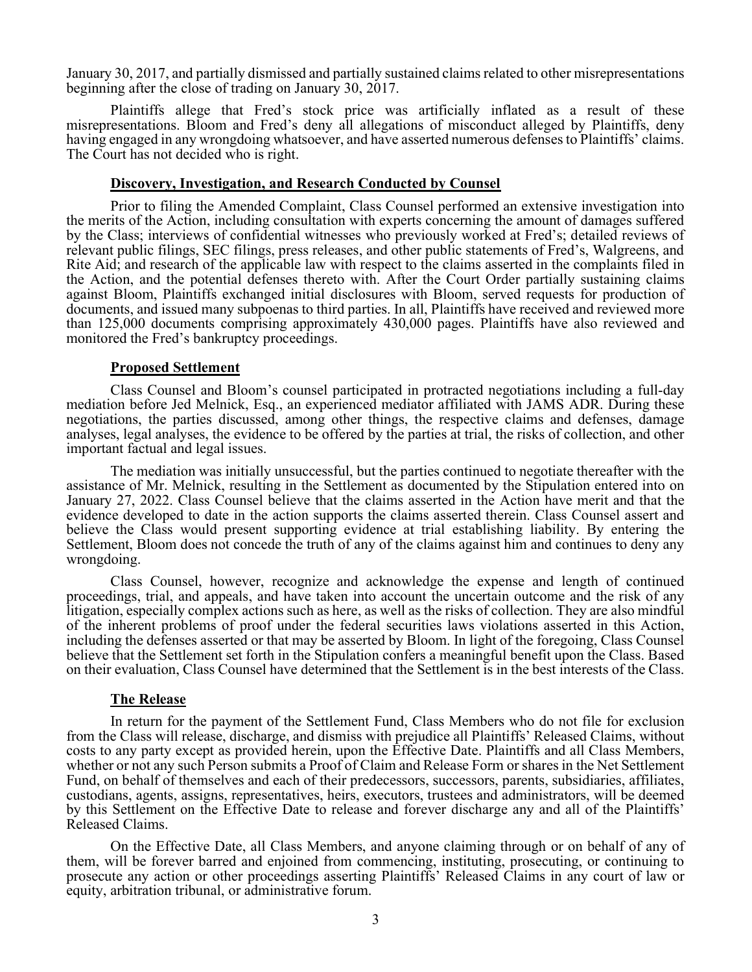January 30, 2017, and partially dismissed and partially sustained claims related to other misrepresentations beginning after the close of trading on January 30, 2017.

Plaintiffs allege that Fred's stock price was artificially inflated as a result of these misrepresentations. Bloom and Fred's deny all allegations of misconduct alleged by Plaintiffs, deny having engaged in any wrongdoing whatsoever, and have asserted numerous defenses to Plaintiffs' claims. The Court has not decided who is right.

#### Discovery, Investigation, and Research Conducted by Counsel

Prior to filing the Amended Complaint, Class Counsel performed an extensive investigation into the merits of the Action, including consultation with experts concerning the amount of damages suffered by the Class; interviews of confidential witnesses who previously worked at Fred's; detailed reviews of relevant public filings, SEC filings, press releases, and other public statements of Fred's, Walgreens, and Rite Aid; and research of the applicable law with respect to the claims asserted in the complaints filed in the Action, and the potential defenses thereto with. After the Court Order partially sustaining claims against Bloom, Plaintiffs exchanged initial disclosures with Bloom, served requests for production of documents, and issued many subpoenas to third parties. In all, Plaintiffs have received and reviewed more than 125,000 documents comprising approximately 430,000 pages. Plaintiffs have also reviewed and monitored the Fred's bankruptcy proceedings.

#### Proposed Settlement

Class Counsel and Bloom's counsel participated in protracted negotiations including a full-day mediation before Jed Melnick, Esq., an experienced mediator affiliated with JAMS ADR. During these negotiations, the parties discussed, among other things, the respective claims and defenses, damage analyses, legal analyses, the evidence to be offered by the parties at trial, the risks of collection, and other important factual and legal issues.

The mediation was initially unsuccessful, but the parties continued to negotiate thereafter with the assistance of Mr. Melnick, resulting in the Settlement as documented by the Stipulation entered into on January 27, 2022. Class Counsel believe that the claims asserted in the Action have merit and that the evidence developed to date in the action supports the claims asserted therein. Class Counsel assert and believe the Class would present supporting evidence at trial establishing liability. By entering the Settlement, Bloom does not concede the truth of any of the claims against him and continues to deny any wrongdoing.

Class Counsel, however, recognize and acknowledge the expense and length of continued proceedings, trial, and appeals, and have taken into account the uncertain outcome and the risk of any litigation, especially complex actions such as here, as well as the risks of collection. They are also mindful of the inherent problems of proof under the federal securities laws violations asserted in this Action, including the defenses asserted or that may be asserted by Bloom. In light of the foregoing, Class Counsel believe that the Settlement set forth in the Stipulation confers a meaningful benefit upon the Class. Based on their evaluation, Class Counsel have determined that the Settlement is in the best interests of the Class.

#### The Release

In return for the payment of the Settlement Fund, Class Members who do not file for exclusion from the Class will release, discharge, and dismiss with prejudice all Plaintiffs' Released Claims, without costs to any party except as provided herein, upon the Effective Date. Plaintiffs and all Class Members, whether or not any such Person submits a Proof of Claim and Release Form or shares in the Net Settlement Fund, on behalf of themselves and each of their predecessors, successors, parents, subsidiaries, affiliates, custodians, agents, assigns, representatives, heirs, executors, trustees and administrators, will be deemed by this Settlement on the Effective Date to release and forever discharge any and all of the Plaintiffs' Released Claims.

On the Effective Date, all Class Members, and anyone claiming through or on behalf of any of them, will be forever barred and enjoined from commencing, instituting, prosecuting, or continuing to prosecute any action or other proceedings asserting Plaintiffs' Released Claims in any court of law or equity, arbitration tribunal, or administrative forum.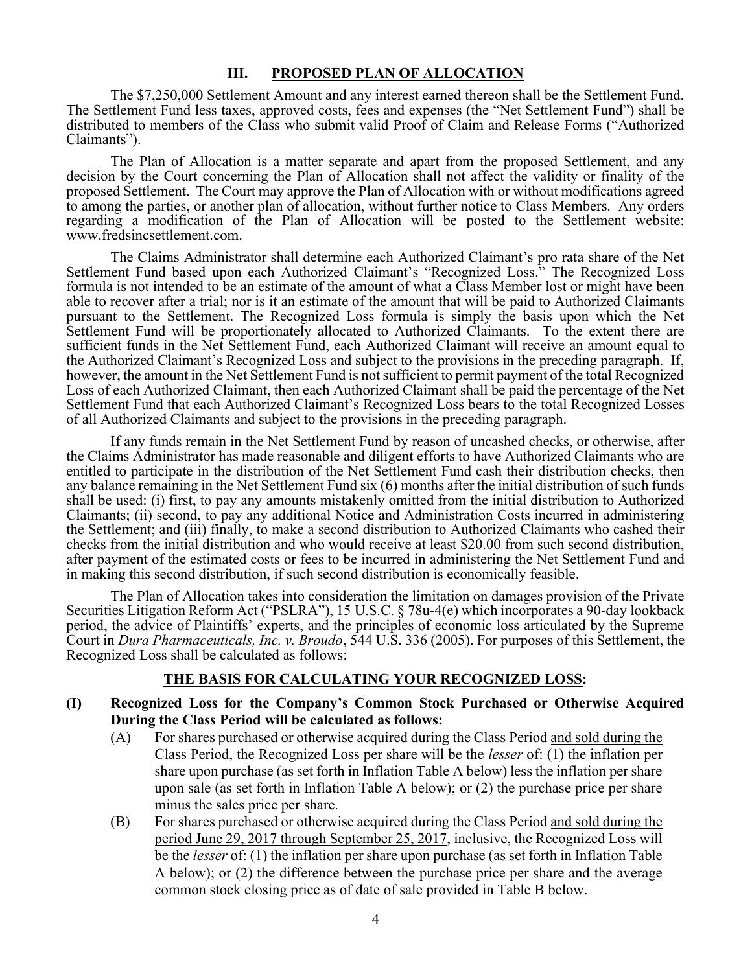## III. PROPOSED PLAN OF ALLOCATION

The \$7,250,000 Settlement Amount and any interest earned thereon shall be the Settlement Fund. The Settlement Fund less taxes, approved costs, fees and expenses (the "Net Settlement Fund") shall be distributed to members of the Class who submit valid Proof of Claim and Release Forms ("Authorized Claimants").

The Plan of Allocation is a matter separate and apart from the proposed Settlement, and any decision by the Court concerning the Plan of Allocation shall not affect the validity or finality of the proposed Settlement. The Court may approve the Plan of Allocation with or without modifications agreed to among the parties, or another plan of allocation, without further notice to Class Members. Any orders regarding a modification of the Plan of Allocation will be posted to the Settlement website: www.fredsincsettlement.com.

The Claims Administrator shall determine each Authorized Claimant's pro rata share of the Net Settlement Fund based upon each Authorized Claimant's "Recognized Loss." The Recognized Loss formula is not intended to be an estimate of the amount of what a Class Member lost or might have been able to recover after a trial; nor is it an estimate of the amount that will be paid to Authorized Claimants pursuant to the Settlement. The Recognized Loss formula is simply the basis upon which the Net Settlement Fund will be proportionately allocated to Authorized Claimants. To the extent there are sufficient funds in the Net Settlement Fund, each Authorized Claimant will receive an amount equal to the Authorized Claimant's Recognized Loss and subject to the provisions in the preceding paragraph. If, however, the amount in the Net Settlement Fund is not sufficient to permit payment of the total Recognized Loss of each Authorized Claimant, then each Authorized Claimant shall be paid the percentage of the Net Settlement Fund that each Authorized Claimant's Recognized Loss bears to the total Recognized Losses of all Authorized Claimants and subject to the provisions in the preceding paragraph.

If any funds remain in the Net Settlement Fund by reason of uncashed checks, or otherwise, after the Claims Administrator has made reasonable and diligent efforts to have Authorized Claimants who are entitled to participate in the distribution of the Net Settlement Fund cash their distribution checks, then any balance remaining in the Net Settlement Fund six (6) months after the initial distribution of such funds shall be used: (i) first, to pay any amounts mistakenly omitted from the initial distribution to Authorized Claimants; (ii) second, to pay any additional Notice and Administration Costs incurred in administering the Settlement; and (iii) finally, to make a second distribution to Authorized Claimants who cashed their checks from the initial distribution and who would receive at least \$20.00 from such second distribution, after payment of the estimated costs or fees to be incurred in administering the Net Settlement Fund and in making this second distribution, if such second distribution is economically feasible.

The Plan of Allocation takes into consideration the limitation on damages provision of the Private Securities Litigation Reform Act ("PSLRA"), 15 U.S.C. § 78u-4(e) which incorporates a 90-day lookback period, the advice of Plaintiffs' experts, and the principles of economic loss articulated by the Supreme Court in Dura Pharmaceuticals, Inc. v. Broudo, 544 U.S. 336 (2005). For purposes of this Settlement, the Recognized Loss shall be calculated as follows:

# THE BASIS FOR CALCULATING YOUR RECOGNIZED LOSS:

- (I) Recognized Loss for the Company's Common Stock Purchased or Otherwise Acquired During the Class Period will be calculated as follows:
	- (A) For shares purchased or otherwise acquired during the Class Period and sold during the Class Period, the Recognized Loss per share will be the lesser of: (1) the inflation per share upon purchase (as set forth in Inflation Table A below) less the inflation per share upon sale (as set forth in Inflation Table A below); or (2) the purchase price per share minus the sales price per share.
	- (B) For shares purchased or otherwise acquired during the Class Period and sold during the period June 29, 2017 through September 25, 2017, inclusive, the Recognized Loss will be the *lesser* of: (1) the inflation per share upon purchase (as set forth in Inflation Table A below); or (2) the difference between the purchase price per share and the average common stock closing price as of date of sale provided in Table B below.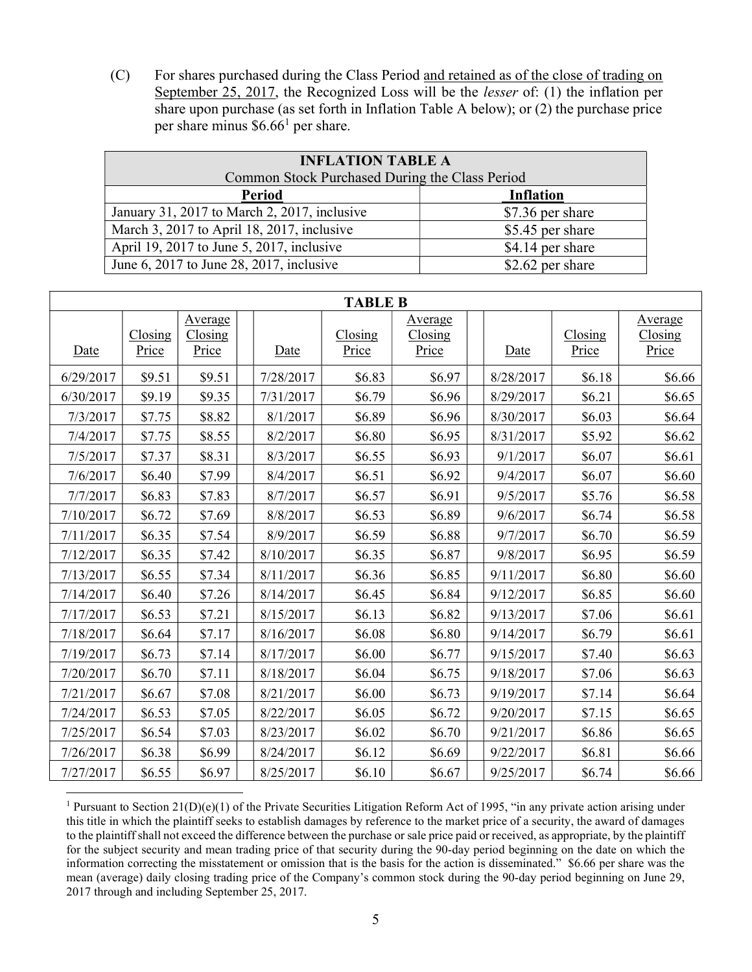(C) For shares purchased during the Class Period and retained as of the close of trading on September 25, 2017, the Recognized Loss will be the lesser of: (1) the inflation per share upon purchase (as set forth in Inflation Table A below); or (2) the purchase price per share minus  $$6.66<sup>1</sup>$  per share.

| <b>INFLATION TABLE A</b>                       |                  |  |  |
|------------------------------------------------|------------------|--|--|
| Common Stock Purchased During the Class Period |                  |  |  |
| <b>Period</b>                                  | <b>Inflation</b> |  |  |
| January 31, 2017 to March 2, 2017, inclusive   | \$7.36 per share |  |  |
| March 3, 2017 to April 18, 2017, inclusive     | \$5.45 per share |  |  |
| April 19, 2017 to June 5, 2017, inclusive      | \$4.14 per share |  |  |
| June 6, 2017 to June 28, 2017, inclusive       | \$2.62 per share |  |  |

| <b>TABLE B</b> |                              |                                         |           |                  |                                         |           |                          |                                                   |
|----------------|------------------------------|-----------------------------------------|-----------|------------------|-----------------------------------------|-----------|--------------------------|---------------------------------------------------|
| Date           | C <sub>losing</sub><br>Price | Average<br>C <sub>losing</sub><br>Price | Date      | Closing<br>Price | Average<br>C <sub>losing</sub><br>Price | Date      | C <i>losing</i><br>Price | Average<br>$\frac{Closing}{\frac{1}{2}}$<br>Price |
| 6/29/2017      | \$9.51                       | \$9.51                                  | 7/28/2017 | \$6.83           | \$6.97                                  | 8/28/2017 | \$6.18                   | \$6.66                                            |
| 6/30/2017      | \$9.19                       | \$9.35                                  | 7/31/2017 | \$6.79           | \$6.96                                  | 8/29/2017 | \$6.21                   | \$6.65                                            |
| 7/3/2017       | \$7.75                       | \$8.82                                  | 8/1/2017  | \$6.89           | \$6.96                                  | 8/30/2017 | \$6.03                   | \$6.64                                            |
| 7/4/2017       | \$7.75                       | \$8.55                                  | 8/2/2017  | \$6.80           | \$6.95                                  | 8/31/2017 | \$5.92                   | \$6.62                                            |
| 7/5/2017       | \$7.37                       | \$8.31                                  | 8/3/2017  | \$6.55           | \$6.93                                  | 9/1/2017  | \$6.07                   | \$6.61                                            |
| 7/6/2017       | \$6.40                       | \$7.99                                  | 8/4/2017  | \$6.51           | \$6.92                                  | 9/4/2017  | \$6.07                   | \$6.60                                            |
| 7/7/2017       | \$6.83                       | \$7.83                                  | 8/7/2017  | \$6.57           | \$6.91                                  | 9/5/2017  | \$5.76                   | \$6.58                                            |
| 7/10/2017      | \$6.72                       | \$7.69                                  | 8/8/2017  | \$6.53           | \$6.89                                  | 9/6/2017  | \$6.74                   | \$6.58                                            |
| 7/11/2017      | \$6.35                       | \$7.54                                  | 8/9/2017  | \$6.59           | \$6.88                                  | 9/7/2017  | \$6.70                   | \$6.59                                            |
| 7/12/2017      | \$6.35                       | \$7.42                                  | 8/10/2017 | \$6.35           | \$6.87                                  | 9/8/2017  | \$6.95                   | \$6.59                                            |
| 7/13/2017      | \$6.55                       | \$7.34                                  | 8/11/2017 | \$6.36           | \$6.85                                  | 9/11/2017 | \$6.80                   | \$6.60                                            |
| 7/14/2017      | \$6.40                       | \$7.26                                  | 8/14/2017 | \$6.45           | \$6.84                                  | 9/12/2017 | \$6.85                   | \$6.60                                            |
| 7/17/2017      | \$6.53                       | \$7.21                                  | 8/15/2017 | \$6.13           | \$6.82                                  | 9/13/2017 | \$7.06                   | \$6.61                                            |
| 7/18/2017      | \$6.64                       | \$7.17                                  | 8/16/2017 | \$6.08           | \$6.80                                  | 9/14/2017 | \$6.79                   | \$6.61                                            |
| 7/19/2017      | \$6.73                       | \$7.14                                  | 8/17/2017 | \$6.00           | \$6.77                                  | 9/15/2017 | \$7.40                   | \$6.63                                            |
| 7/20/2017      | \$6.70                       | \$7.11                                  | 8/18/2017 | \$6.04           | \$6.75                                  | 9/18/2017 | \$7.06                   | \$6.63                                            |
| 7/21/2017      | \$6.67                       | \$7.08                                  | 8/21/2017 | \$6.00           | \$6.73                                  | 9/19/2017 | \$7.14                   | \$6.64                                            |
| 7/24/2017      | \$6.53                       | \$7.05                                  | 8/22/2017 | \$6.05           | \$6.72                                  | 9/20/2017 | \$7.15                   | \$6.65                                            |
| 7/25/2017      | \$6.54                       | \$7.03                                  | 8/23/2017 | \$6.02           | \$6.70                                  | 9/21/2017 | \$6.86                   | \$6.65                                            |
| 7/26/2017      | \$6.38                       | \$6.99                                  | 8/24/2017 | \$6.12           | \$6.69                                  | 9/22/2017 | \$6.81                   | \$6.66                                            |
| 7/27/2017      | \$6.55                       | \$6.97                                  | 8/25/2017 | \$6.10           | \$6.67                                  | 9/25/2017 | \$6.74                   | \$6.66                                            |

<sup>&</sup>lt;sup>1</sup> Pursuant to Section 21(D)(e)(1) of the Private Securities Litigation Reform Act of 1995, "in any private action arising under this title in which the plaintiff seeks to establish damages by reference to the market price of a security, the award of damages to the plaintiff shall not exceed the difference between the purchase or sale price paid or received, as appropriate, by the plaintiff for the subject security and mean trading price of that security during the 90-day period beginning on the date on which the information correcting the misstatement or omission that is the basis for the action is disseminated." \$6.66 per share was the mean (average) daily closing trading price of the Company's common stock during the 90-day period beginning on June 29, 2017 through and including September 25, 2017.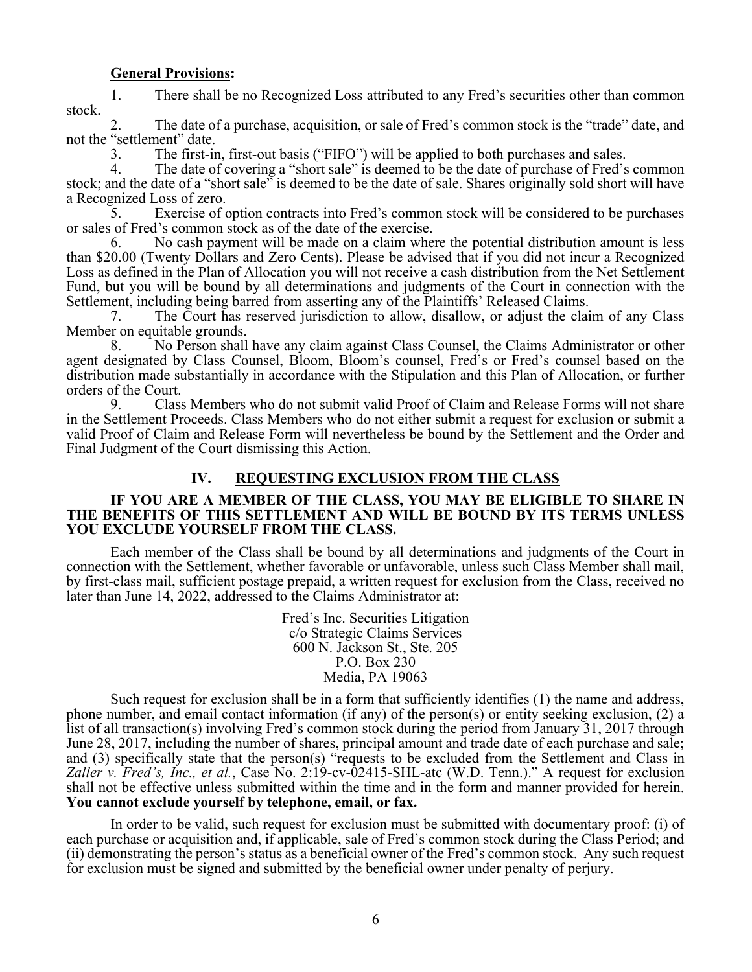#### General Provisions:

1. There shall be no Recognized Loss attributed to any Fred's securities other than common stock.

2. The date of a purchase, acquisition, or sale of Fred's common stock is the "trade" date, and not the "settlement" date.

3. The first-in, first-out basis ("FIFO") will be applied to both purchases and sales.

4. The date of covering a "short sale" is deemed to be the date of purchase of Fred's common stock; and the date of a "short sale" is deemed to be the date of sale. Shares originally sold short will have a Recognized Loss of zero.

5. Exercise of option contracts into Fred's common stock will be considered to be purchases or sales of Fred's common stock as of the date of the exercise.

No cash payment will be made on a claim where the potential distribution amount is less than \$20.00 (Twenty Dollars and Zero Cents). Please be advised that if you did not incur a Recognized Loss as defined in the Plan of Allocation you will not receive a cash distribution from the Net Settlement Fund, but you will be bound by all determinations and judgments of the Court in connection with the Settlement, including being barred from asserting any of the Plaintiffs' Released Claims.

7. The Court has reserved jurisdiction to allow, disallow, or adjust the claim of any Class Member on equitable grounds.

8. No Person shall have any claim against Class Counsel, the Claims Administrator or other agent designated by Class Counsel, Bloom, Bloom's counsel, Fred's or Fred's counsel based on the distribution made substantially in accordance with the Stipulation and this Plan of Allocation, or further orders of the Court.

9. Class Members who do not submit valid Proof of Claim and Release Forms will not share in the Settlement Proceeds. Class Members who do not either submit a request for exclusion or submit a valid Proof of Claim and Release Form will nevertheless be bound by the Settlement and the Order and Final Judgment of the Court dismissing this Action.

## IV. REQUESTING EXCLUSION FROM THE CLASS

#### IF YOU ARE A MEMBER OF THE CLASS, YOU MAY BE ELIGIBLE TO SHARE IN THE BENEFITS OF THIS SETTLEMENT AND WILL BE BOUND BY ITS TERMS UNLESS YOU EXCLUDE YOURSELF FROM THE CLASS.

Each member of the Class shall be bound by all determinations and judgments of the Court in connection with the Settlement, whether favorable or unfavorable, unless such Class Member shall mail, by first-class mail, sufficient postage prepaid, a written request for exclusion from the Class, received no later than June 14, 2022, addressed to the Claims Administrator at:

> Fred's Inc. Securities Litigation c/o Strategic Claims Services 600 N. Jackson St., Ste. 205 P.O. Box 230 Media, PA 19063

Such request for exclusion shall be in a form that sufficiently identifies (1) the name and address, phone number, and email contact information (if any) of the person(s) or entity seeking exclusion, (2) a list of all transaction(s) involving Fred's common stock during the period from January 31, 2017 through June 28, 2017, including the number of shares, principal amount and trade date of each purchase and sale; and (3) specifically state that the person(s) "requests to be excluded from the Settlement and Class in Zaller v. Fred's, Inc., et al., Case No. 2:19-cv-02415-SHL-atc (W.D. Tenn.)." A request for exclusion shall not be effective unless submitted within the time and in the form and manner provided for herein. You cannot exclude yourself by telephone, email, or fax.

In order to be valid, such request for exclusion must be submitted with documentary proof: (i) of each purchase or acquisition and, if applicable, sale of Fred's common stock during the Class Period; and (ii) demonstrating the person's status as a beneficial owner of the Fred's common stock. Any such request for exclusion must be signed and submitted by the beneficial owner under penalty of perjury.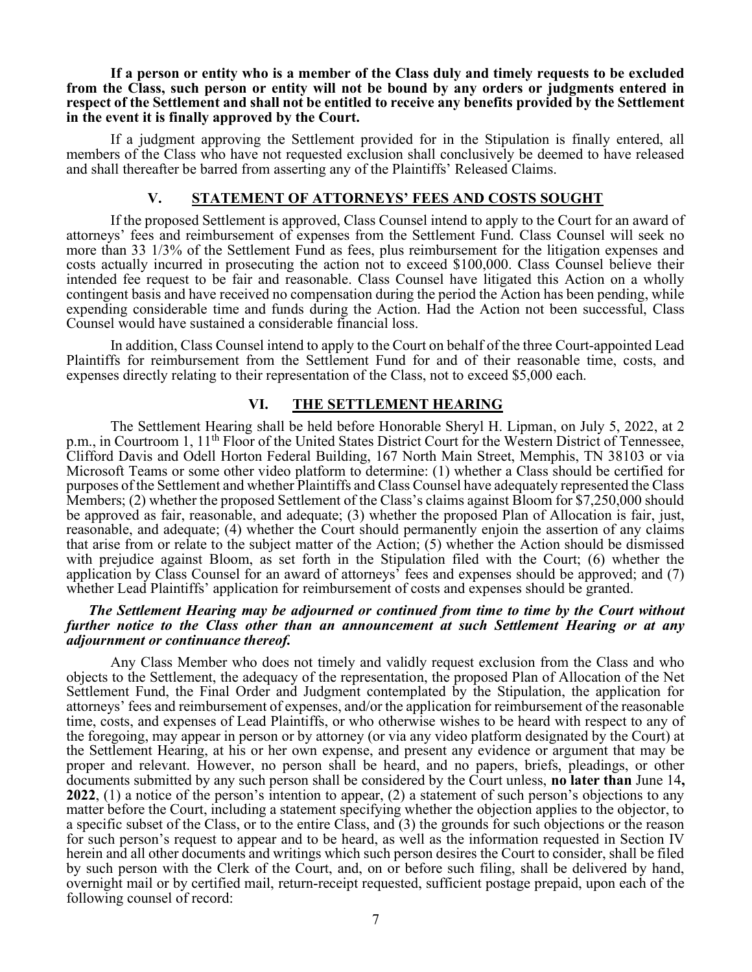If a person or entity who is a member of the Class duly and timely requests to be excluded from the Class, such person or entity will not be bound by any orders or judgments entered in respect of the Settlement and shall not be entitled to receive any benefits provided by the Settlement in the event it is finally approved by the Court.

If a judgment approving the Settlement provided for in the Stipulation is finally entered, all members of the Class who have not requested exclusion shall conclusively be deemed to have released and shall thereafter be barred from asserting any of the Plaintiffs' Released Claims.

#### V. STATEMENT OF ATTORNEYS' FEES AND COSTS SOUGHT

If the proposed Settlement is approved, Class Counsel intend to apply to the Court for an award of attorneys' fees and reimbursement of expenses from the Settlement Fund. Class Counsel will seek no more than 33 1/3% of the Settlement Fund as fees, plus reimbursement for the litigation expenses and costs actually incurred in prosecuting the action not to exceed \$100,000. Class Counsel believe their intended fee request to be fair and reasonable. Class Counsel have litigated this Action on a wholly contingent basis and have received no compensation during the period the Action has been pending, while expending considerable time and funds during the Action. Had the Action not been successful, Class Counsel would have sustained a considerable financial loss.

In addition, Class Counsel intend to apply to the Court on behalf of the three Court-appointed Lead Plaintiffs for reimbursement from the Settlement Fund for and of their reasonable time, costs, and expenses directly relating to their representation of the Class, not to exceed \$5,000 each.

#### VI. THE SETTLEMENT HEARING

The Settlement Hearing shall be held before Honorable Sheryl H. Lipman, on July 5, 2022, at 2 p.m., in Courtroom 1, 11<sup>th</sup> Floor of the United States District Court for the Western District of Tennessee, Clifford Davis and Odell Horton Federal Building, 167 North Main Street, Memphis, TN 38103 or via Microsoft Teams or some other video platform to determine: (1) whether a Class should be certified for purposes of the Settlement and whether Plaintiffs and Class Counsel have adequately represented the Class Members; (2) whether the proposed Settlement of the Class's claims against Bloom for \$7,250,000 should be approved as fair, reasonable, and adequate; (3) whether the proposed Plan of Allocation is fair, just, reasonable, and adequate; (4) whether the Court should permanently enjoin the assertion of any claims that arise from or relate to the subject matter of the Action; (5) whether the Action should be dismissed with prejudice against Bloom, as set forth in the Stipulation filed with the Court; (6) whether the application by Class Counsel for an award of attorneys' fees and expenses should be approved; and (7) whether Lead Plaintiffs' application for reimbursement of costs and expenses should be granted.

#### The Settlement Hearing may be adjourned or continued from time to time by the Court without further notice to the Class other than an announcement at such Settlement Hearing or at any adjournment or continuance thereof.

Any Class Member who does not timely and validly request exclusion from the Class and who objects to the Settlement, the adequacy of the representation, the proposed Plan of Allocation of the Net Settlement Fund, the Final Order and Judgment contemplated by the Stipulation, the application for attorneys' fees and reimbursement of expenses, and/or the application for reimbursement of the reasonable time, costs, and expenses of Lead Plaintiffs, or who otherwise wishes to be heard with respect to any of the foregoing, may appear in person or by attorney (or via any video platform designated by the Court) at the Settlement Hearing, at his or her own expense, and present any evidence or argument that may be proper and relevant. However, no person shall be heard, and no papers, briefs, pleadings, or other documents submitted by any such person shall be considered by the Court unless, no later than June 14, 2022, (1) a notice of the person's intention to appear, (2) a statement of such person's objections to any matter before the Court, including a statement specifying whether the objection applies to the objector, to a specific subset of the Class, or to the entire Class, and (3) the grounds for such objections or the reason for such person's request to appear and to be heard, as well as the information requested in Section IV herein and all other documents and writings which such person desires the Court to consider, shall be filed by such person with the Clerk of the Court, and, on or before such filing, shall be delivered by hand, overnight mail or by certified mail, return-receipt requested, sufficient postage prepaid, upon each of the following counsel of record: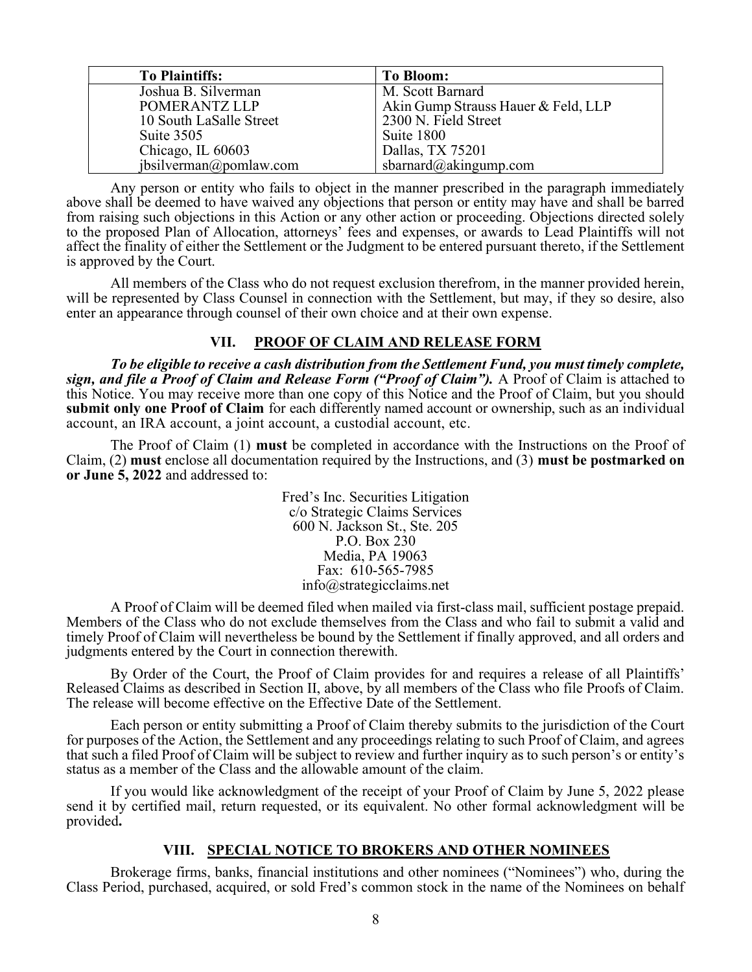| <b>To Plaintiffs:</b>   | <b>To Bloom:</b>                    |
|-------------------------|-------------------------------------|
| Joshua B. Silverman     | M. Scott Barnard                    |
| POMERANTZ LLP           | Akin Gump Strauss Hauer & Feld, LLP |
| 10 South LaSalle Street | 2300 N. Field Street                |
| Suite 3505              | Suite 1800                          |
| Chicago, IL 60603       | Dallas, TX 75201                    |
| jbsilverman@pomlaw.com  | sbarnard@akingump.com               |

Any person or entity who fails to object in the manner prescribed in the paragraph immediately above shall be deemed to have waived any objections that person or entity may have and shall be barred from raising such objections in this Action or any other action or proceeding. Objections directed solely to the proposed Plan of Allocation, attorneys' fees and expenses, or awards to Lead Plaintiffs will not affect the finality of either the Settlement or the Judgment to be entered pursuant thereto, if the Settlement is approved by the Court.

All members of the Class who do not request exclusion therefrom, in the manner provided herein, will be represented by Class Counsel in connection with the Settlement, but may, if they so desire, also enter an appearance through counsel of their own choice and at their own expense.

# VII. PROOF OF CLAIM AND RELEASE FORM

To be eligible to receive a cash distribution from the Settlement Fund, you must timely complete, sign, and file a Proof of Claim and Release Form ("Proof of Claim"). A Proof of Claim is attached to this Notice. You may receive more than one copy of this Notice and the Proof of Claim, but you should submit only one Proof of Claim for each differently named account or ownership, such as an individual account, an IRA account, a joint account, a custodial account, etc.

The Proof of Claim (1) must be completed in accordance with the Instructions on the Proof of Claim, (2) must enclose all documentation required by the Instructions, and (3) must be postmarked on or June 5, 2022 and addressed to:

> Fred's Inc. Securities Litigation c/o Strategic Claims Services 600 N. Jackson St., Ste. 205 P.O. Box 230 Media, PA 19063 Fax: 610-565-7985 info@strategicclaims.net

A Proof of Claim will be deemed filed when mailed via first-class mail, sufficient postage prepaid. Members of the Class who do not exclude themselves from the Class and who fail to submit a valid and timely Proof of Claim will nevertheless be bound by the Settlement if finally approved, and all orders and judgments entered by the Court in connection therewith.

By Order of the Court, the Proof of Claim provides for and requires a release of all Plaintiffs' Released Claims as described in Section II, above, by all members of the Class who file Proofs of Claim. The release will become effective on the Effective Date of the Settlement.

Each person or entity submitting a Proof of Claim thereby submits to the jurisdiction of the Court for purposes of the Action, the Settlement and any proceedings relating to such Proof of Claim, and agrees that such a filed Proof of Claim will be subject to review and further inquiry as to such person's or entity's status as a member of the Class and the allowable amount of the claim.

If you would like acknowledgment of the receipt of your Proof of Claim by June 5, 2022 please send it by certified mail, return requested, or its equivalent. No other formal acknowledgment will be provided.

### VIII. SPECIAL NOTICE TO BROKERS AND OTHER NOMINEES

Brokerage firms, banks, financial institutions and other nominees ("Nominees") who, during the Class Period, purchased, acquired, or sold Fred's common stock in the name of the Nominees on behalf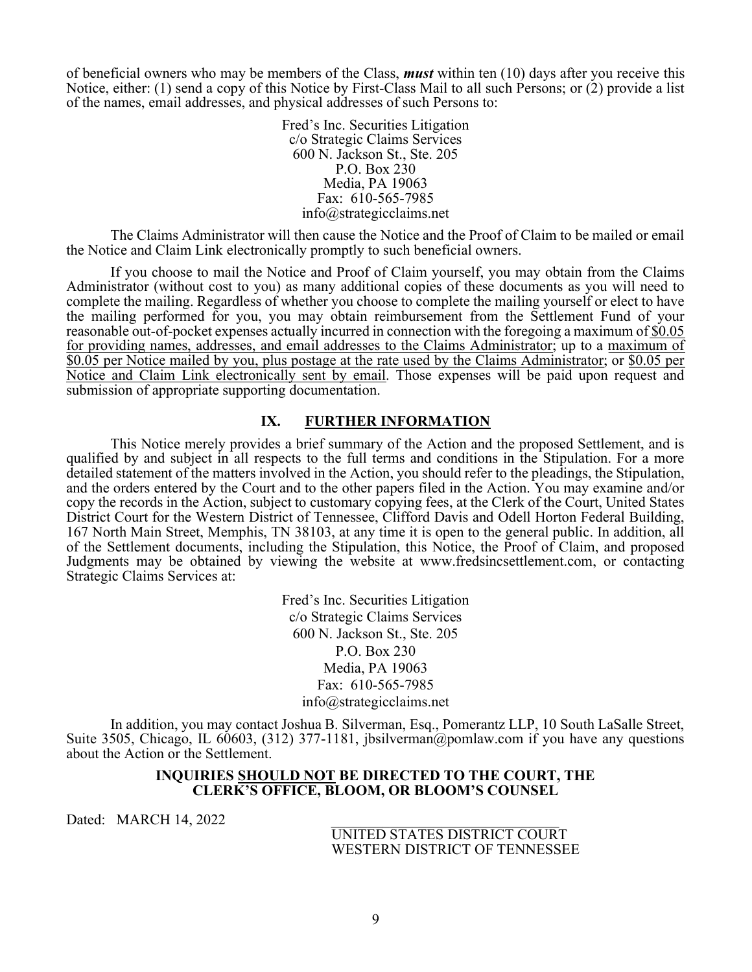of beneficial owners who may be members of the Class, **must** within ten  $(10)$  days after you receive this Notice, either: (1) send a copy of this Notice by First-Class Mail to all such Persons; or (2) provide a list of the names, email addresses, and physical addresses of such Persons to:

> Fred's Inc. Securities Litigation c/o Strategic Claims Services 600 N. Jackson St., Ste. 205 P.O. Box 230 Media, PA 19063 Fax: 610-565-7985 info@strategicclaims.net

The Claims Administrator will then cause the Notice and the Proof of Claim to be mailed or email the Notice and Claim Link electronically promptly to such beneficial owners.

If you choose to mail the Notice and Proof of Claim yourself, you may obtain from the Claims Administrator (without cost to you) as many additional copies of these documents as you will need to complete the mailing. Regardless of whether you choose to complete the mailing yourself or elect to have the mailing performed for you, you may obtain reimbursement from the Settlement Fund of your reasonable out-of-pocket expenses actually incurred in connection with the foregoing a maximum of \$0.05 for providing names, addresses, and email addresses to the Claims Administrator; up to a maximum of \$0.05 per Notice mailed by you, plus postage at the rate used by the Claims Administrator; or \$0.05 per Notice and Claim Link electronically sent by email. Those expenses will be paid upon request and submission of appropriate supporting documentation.

## IX. FURTHER INFORMATION

This Notice merely provides a brief summary of the Action and the proposed Settlement, and is qualified by and subject in all respects to the full terms and conditions in the Stipulation. For a more detailed statement of the matters involved in the Action, you should refer to the pleadings, the Stipulation, and the orders entered by the Court and to the other papers filed in the Action. You may examine and/or copy the records in the Action, subject to customary copying fees, at the Clerk of the Court, United States District Court for the Western District of Tennessee, Clifford Davis and Odell Horton Federal Building, 167 North Main Street, Memphis, TN 38103, at any time it is open to the general public. In addition, all of the Settlement documents, including the Stipulation, this Notice, the Proof of Claim, and proposed Judgments may be obtained by viewing the website at www.fredsincsettlement.com, or contacting Strategic Claims Services at:

> Fred's Inc. Securities Litigation c/o Strategic Claims Services 600 N. Jackson St., Ste. 205 P.O. Box 230 Media, PA 19063 Fax: 610-565-7985 info@strategicclaims.net

In addition, you may contact Joshua B. Silverman, Esq., Pomerantz LLP, 10 South LaSalle Street, Suite 3505, Chicago, IL 60603, (312) 377-1181, jbsilverman@pomlaw.com if you have any questions about the Action or the Settlement.

#### INQUIRIES SHOULD NOT BE DIRECTED TO THE COURT, THE CLERK'S OFFICE, BLOOM, OR BLOOM'S COUNSEL

Dated: MARCH 14, 2022

 UNITED STATES DISTRICT COURT WESTERN DISTRICT OF TENNESSEE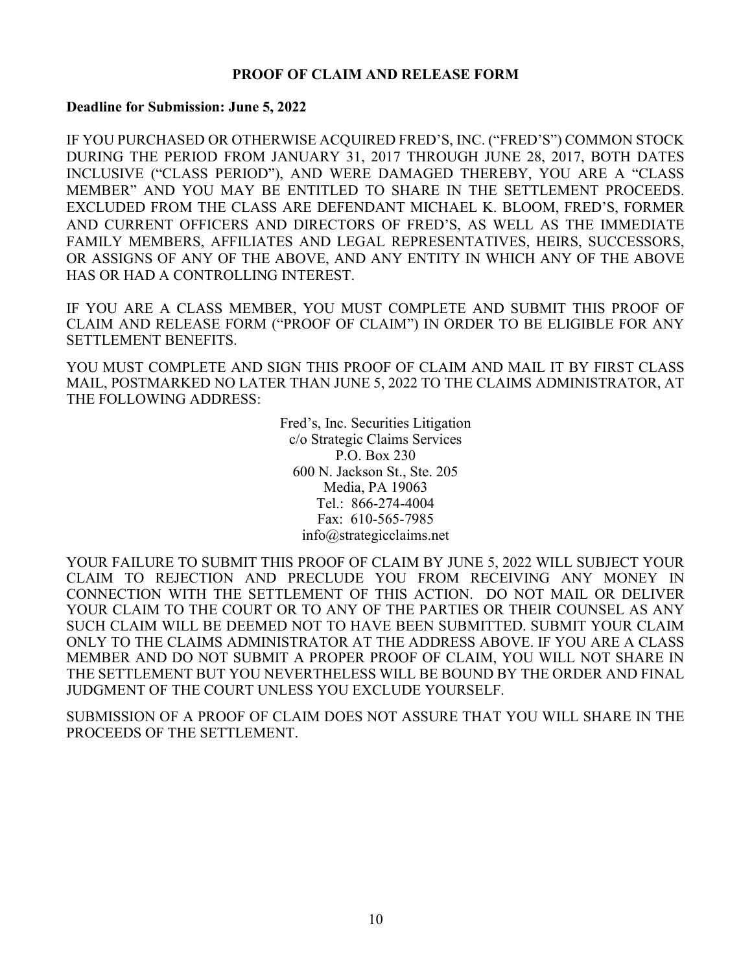# PROOF OF CLAIM AND RELEASE FORM

## Deadline for Submission: June 5, 2022

IF YOU PURCHASED OR OTHERWISE ACQUIRED FRED'S, INC. ("FRED'S") COMMON STOCK DURING THE PERIOD FROM JANUARY 31, 2017 THROUGH JUNE 28, 2017, BOTH DATES INCLUSIVE ("CLASS PERIOD"), AND WERE DAMAGED THEREBY, YOU ARE A "CLASS MEMBER" AND YOU MAY BE ENTITLED TO SHARE IN THE SETTLEMENT PROCEEDS. EXCLUDED FROM THE CLASS ARE DEFENDANT MICHAEL K. BLOOM, FRED'S, FORMER AND CURRENT OFFICERS AND DIRECTORS OF FRED'S, AS WELL AS THE IMMEDIATE FAMILY MEMBERS, AFFILIATES AND LEGAL REPRESENTATIVES, HEIRS, SUCCESSORS, OR ASSIGNS OF ANY OF THE ABOVE, AND ANY ENTITY IN WHICH ANY OF THE ABOVE HAS OR HAD A CONTROLLING INTEREST.

IF YOU ARE A CLASS MEMBER, YOU MUST COMPLETE AND SUBMIT THIS PROOF OF CLAIM AND RELEASE FORM ("PROOF OF CLAIM") IN ORDER TO BE ELIGIBLE FOR ANY SETTLEMENT BENEFITS.

YOU MUST COMPLETE AND SIGN THIS PROOF OF CLAIM AND MAIL IT BY FIRST CLASS MAIL, POSTMARKED NO LATER THAN JUNE 5, 2022 TO THE CLAIMS ADMINISTRATOR, AT THE FOLLOWING ADDRESS:

> Fred's, Inc. Securities Litigation c/o Strategic Claims Services P.O. Box 230 600 N. Jackson St., Ste. 205 Media, PA 19063 Tel.: 866-274-4004 Fax: 610-565-7985 info@strategicclaims.net

YOUR FAILURE TO SUBMIT THIS PROOF OF CLAIM BY JUNE 5, 2022 WILL SUBJECT YOUR CLAIM TO REJECTION AND PRECLUDE YOU FROM RECEIVING ANY MONEY IN CONNECTION WITH THE SETTLEMENT OF THIS ACTION. DO NOT MAIL OR DELIVER YOUR CLAIM TO THE COURT OR TO ANY OF THE PARTIES OR THEIR COUNSEL AS ANY SUCH CLAIM WILL BE DEEMED NOT TO HAVE BEEN SUBMITTED. SUBMIT YOUR CLAIM ONLY TO THE CLAIMS ADMINISTRATOR AT THE ADDRESS ABOVE. IF YOU ARE A CLASS MEMBER AND DO NOT SUBMIT A PROPER PROOF OF CLAIM, YOU WILL NOT SHARE IN THE SETTLEMENT BUT YOU NEVERTHELESS WILL BE BOUND BY THE ORDER AND FINAL JUDGMENT OF THE COURT UNLESS YOU EXCLUDE YOURSELF.

SUBMISSION OF A PROOF OF CLAIM DOES NOT ASSURE THAT YOU WILL SHARE IN THE PROCEEDS OF THE SETTLEMENT.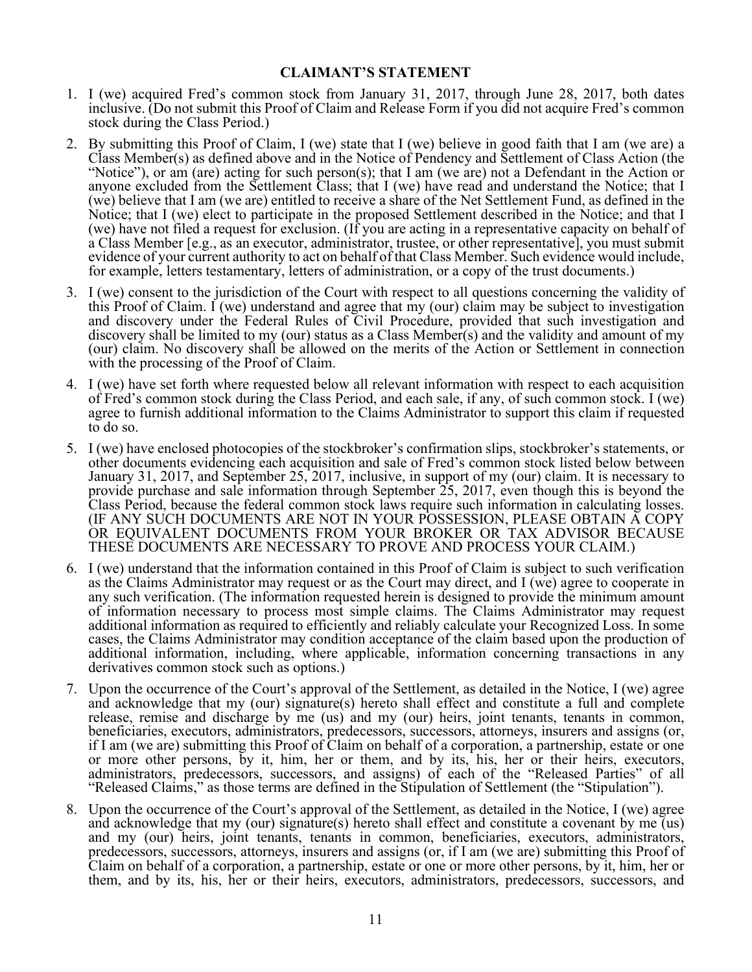## CLAIMANT'S STATEMENT

- 1. I (we) acquired Fred's common stock from January 31, 2017, through June 28, 2017, both dates inclusive. (Do not submit this Proof of Claim and Release Form if you did not acquire Fred's common stock during the Class Period.)
- 2. By submitting this Proof of Claim, I (we) state that I (we) believe in good faith that I am (we are) a Class Member(s) as defined above and in the Notice of Pendency and Settlement of Class Action (the "Notice"), or am (are) acting for such person(s); that I am (we are) not a Defendant in the Action or anyone excluded from the Settlement Class; that I (we) have read and understand the Notice; that I (we) believe that I am (we are) entitled to receive a share of the Net Settlement Fund, as defined in the Notice; that I (we) elect to participate in the proposed Settlement described in the Notice; and that I (we) have not filed a request for exclusion. (If you are acting in a representative capacity on behalf of a Class Member [e.g., as an executor, administrator, trustee, or other representative], you must submit evidence of your current authority to act on behalf of that Class Member. Such evidence would include, for example, letters testamentary, letters of administration, or a copy of the trust documents.)
- 3. I (we) consent to the jurisdiction of the Court with respect to all questions concerning the validity of this Proof of Claim. I (we) understand and agree that my (our) claim may be subject to investigation and discovery under the Federal Rules of Civil Procedure, provided that such investigation and discovery shall be limited to my (our) status as a Class Member(s) and the validity and amount of my (our) claim. No discovery shall be allowed on the merits of the Action or Settlement in connection with the processing of the Proof of Claim.
- 4. I (we) have set forth where requested below all relevant information with respect to each acquisition of Fred's common stock during the Class Period, and each sale, if any, of such common stock. I (we) agree to furnish additional information to the Claims Administrator to support this claim if requested to do so.
- 5. I (we) have enclosed photocopies of the stockbroker's confirmation slips, stockbroker's statements, or other documents evidencing each acquisition and sale of Fred's common stock listed below between January 31, 2017, and September 25, 2017, inclusive, in support of my (our) claim. It is necessary to provide purchase and sale information through September 25, 2017, even though this is beyond the Class Period, because the federal common stock laws require such information in calculating losses. (IF ANY SUCH DOCUMENTS ARE NOT IN YOUR POSSESSION, PLEASE OBTAIN A COPY OR EQUIVALENT DOCUMENTS FROM YOUR BROKER OR TAX ADVISOR BECAUSE THESE DOCUMENTS ARE NECESSARY TO PROVE AND PROCESS YOUR CLAIM.)
- 6. I (we) understand that the information contained in this Proof of Claim is subject to such verification as the Claims Administrator may request or as the Court may direct, and I (we) agree to cooperate in any such verification. (The information requested herein is designed to provide the minimum amount of information necessary to process most simple claims. The Claims Administrator may request additional information as required to efficiently and reliably calculate your Recognized Loss. In some cases, the Claims Administrator may condition acceptance of the claim based upon the production of additional information, including, where applicable, information concerning transactions in any derivatives common stock such as options.)
- 7. Upon the occurrence of the Court's approval of the Settlement, as detailed in the Notice, I (we) agree and acknowledge that my (our) signature(s) hereto shall effect and constitute a full and complete release, remise and discharge by me (us) and my (our) heirs, joint tenants, tenants in common, beneficiaries, executors, administrators, predecessors, successors, attorneys, insurers and assigns (or, if I am (we are) submitting this Proof of Claim on behalf of a corporation, a partnership, estate or one or more other persons, by it, him, her or them, and by its, his, her or their heirs, executors, administrators, predecessors, successors, and assigns) of each of the "Released Parties" of all "Released Claims," as those terms are defined in the Stipulation of Settlement (the "Stipulation").
- 8. Upon the occurrence of the Court's approval of the Settlement, as detailed in the Notice, I (we) agree and acknowledge that my (our) signature(s) hereto shall effect and constitute a covenant by me (us) and my (our) heirs, joint tenants, tenants in common, beneficiaries, executors, administrators, predecessors, successors, attorneys, insurers and assigns (or, if I am (we are) submitting this Proof of Claim on behalf of a corporation, a partnership, estate or one or more other persons, by it, him, her or them, and by its, his, her or their heirs, executors, administrators, predecessors, successors, and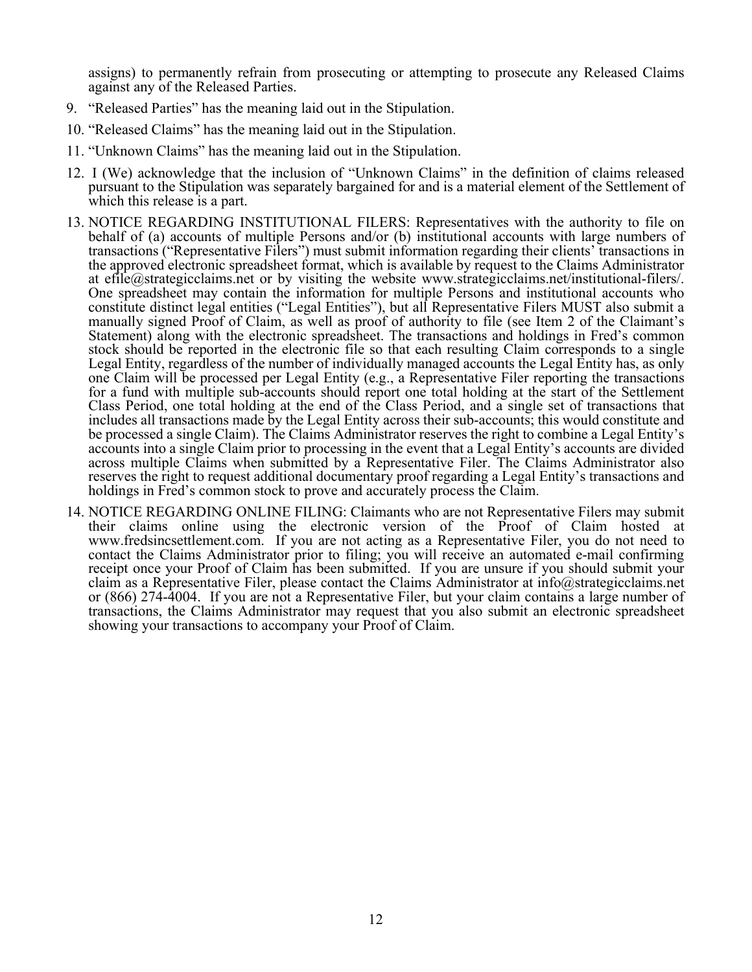assigns) to permanently refrain from prosecuting or attempting to prosecute any Released Claims against any of the Released Parties.

- 9. "Released Parties" has the meaning laid out in the Stipulation.
- 10. "Released Claims" has the meaning laid out in the Stipulation.
- 11. "Unknown Claims" has the meaning laid out in the Stipulation.
- 12. I (We) acknowledge that the inclusion of "Unknown Claims" in the definition of claims released pursuant to the Stipulation was separately bargained for and is a material element of the Settlement of which this release is a part.
- 13. NOTICE REGARDING INSTITUTIONAL FILERS: Representatives with the authority to file on behalf of (a) accounts of multiple Persons and/or (b) institutional accounts with large numbers of transactions ("Representative Filers") must submit information regarding their clients' transactions in the approved electronic spreadsheet format, which is available by request to the Claims Administrator at efile@strategicclaims.net or by visiting the website www.strategicclaims.net/institutional-filers/. One spreadsheet may contain the information for multiple Persons and institutional accounts who constitute distinct legal entities ("Legal Entities"), but all Representative Filers MUST also submit a manually signed Proof of Claim, as well as proof of authority to file (see Item 2 of the Claimant's Statement) along with the electronic spreadsheet. The transactions and holdings in Fred's common stock should be reported in the electronic file so that each resulting Claim corresponds to a single Legal Entity, regardless of the number of individually managed accounts the Legal Entity has, as only one Claim will be processed per Legal Entity (e.g., a Representative Filer reporting the transactions for a fund with multiple sub-accounts should report one total holding at the start of the Settlement Class Period, one total holding at the end of the Class Period, and a single set of transactions that includes all transactions made by the Legal Entity across their sub-accounts; this would constitute and be processed a single Claim). The Claims Administrator reserves the right to combine a Legal Entity's accounts into a single Claim prior to processing in the event that a Legal Entity's accounts are divided across multiple Claims when submitted by a Representative Filer. The Claims Administrator also reserves the right to request additional documentary proof regarding a Legal Entity's transactions and holdings in Fred's common stock to prove and accurately process the Claim.
- 14. NOTICE REGARDING ONLINE FILING: Claimants who are not Representative Filers may submit their claims online using the electronic version of the Proof of Claim hosted at www.fredsincsettlement.com. If you are not acting as a Representative Filer, you do not need to contact the Claims Administrator prior to filing; you will receive an automated e-mail confirming receipt once your Proof of Claim has been submitted. If you are unsure if you should submit your claim as a Representative Filer, please contact the Claims Administrator at info@strategicclaims.net or (866) 274-4004. If you are not a Representative Filer, but your claim contains a large number of transactions, the Claims Administrator may request that you also submit an electronic spreadsheet showing your transactions to accompany your Proof of Claim.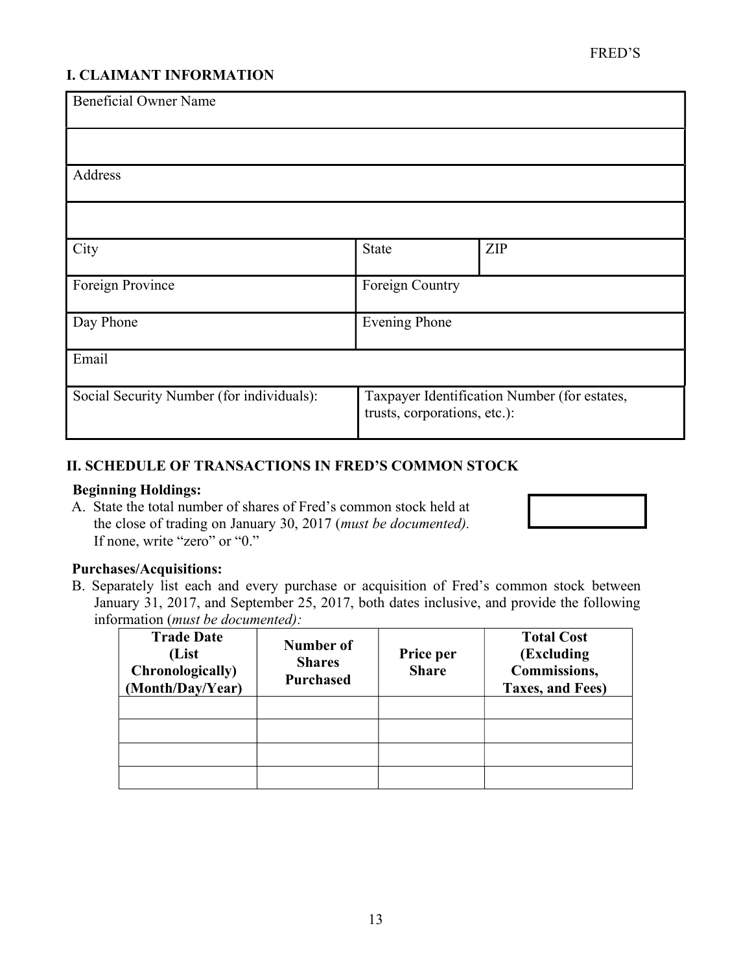# I. CLAIMANT INFORMATION

| <b>Beneficial Owner Name</b>              |                                                                              |     |  |
|-------------------------------------------|------------------------------------------------------------------------------|-----|--|
|                                           |                                                                              |     |  |
| Address                                   |                                                                              |     |  |
|                                           |                                                                              |     |  |
| City                                      | State                                                                        | ZIP |  |
| Foreign Province                          | Foreign Country                                                              |     |  |
| Day Phone                                 | <b>Evening Phone</b>                                                         |     |  |
| Email                                     |                                                                              |     |  |
| Social Security Number (for individuals): | Taxpayer Identification Number (for estates,<br>trusts, corporations, etc.): |     |  |

# II. SCHEDULE OF TRANSACTIONS IN FRED'S COMMON STOCK

# Beginning Holdings:

A. State the total number of shares of Fred's common stock held at the close of trading on January 30, 2017 (must be documented). If none, write "zero" or "0."

# Purchases/Acquisitions:

B. Separately list each and every purchase or acquisition of Fred's common stock between January 31, 2017, and September 25, 2017, both dates inclusive, and provide the following information (must be documented):

| <b>Trade Date</b><br>(List<br>Chronologically)<br>(Month/Day/Year) | Number of<br><b>Shares</b><br><b>Purchased</b> | Price per<br><b>Share</b> | <b>Total Cost</b><br>(Excluding<br>Commissions,<br>Taxes, and Fees) |
|--------------------------------------------------------------------|------------------------------------------------|---------------------------|---------------------------------------------------------------------|
|                                                                    |                                                |                           |                                                                     |
|                                                                    |                                                |                           |                                                                     |
|                                                                    |                                                |                           |                                                                     |
|                                                                    |                                                |                           |                                                                     |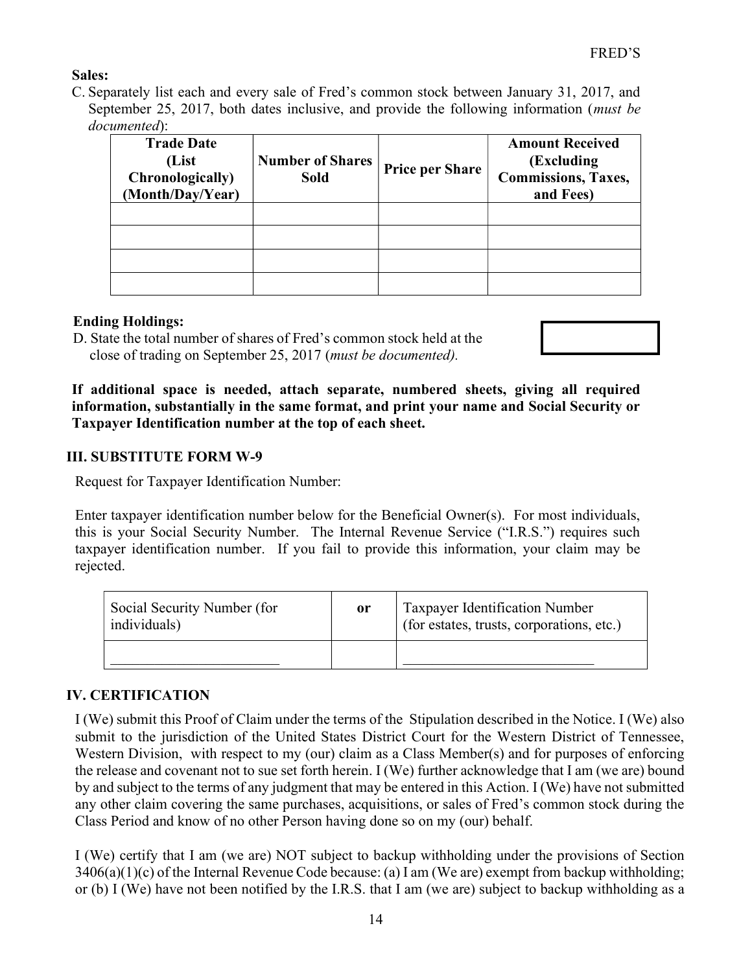# Sales:

C. Separately list each and every sale of Fred's common stock between January 31, 2017, and September 25, 2017, both dates inclusive, and provide the following information (must be documented):

| <b>Trade Date</b><br>(List<br>Chronologically)<br>(Month/Day/Year) | <b>Number of Shares</b><br><b>Sold</b> | <b>Price per Share</b> | <b>Amount Received</b><br>(Excluding)<br><b>Commissions, Taxes,</b><br>and Fees) |  |
|--------------------------------------------------------------------|----------------------------------------|------------------------|----------------------------------------------------------------------------------|--|
|                                                                    |                                        |                        |                                                                                  |  |
|                                                                    |                                        |                        |                                                                                  |  |
|                                                                    |                                        |                        |                                                                                  |  |
|                                                                    |                                        |                        |                                                                                  |  |

# Ending Holdings:

D. State the total number of shares of Fred's common stock held at the close of trading on September 25, 2017 (must be documented).



If additional space is needed, attach separate, numbered sheets, giving all required information, substantially in the same format, and print your name and Social Security or Taxpayer Identification number at the top of each sheet.

# III. SUBSTITUTE FORM W-9

Request for Taxpayer Identification Number:

Enter taxpayer identification number below for the Beneficial Owner(s). For most individuals, this is your Social Security Number. The Internal Revenue Service ("I.R.S.") requires such taxpayer identification number. If you fail to provide this information, your claim may be rejected.

| Social Security Number (for<br>individuals) | 0r | Taxpayer Identification Number<br>(for estates, trusts, corporations, etc.) |
|---------------------------------------------|----|-----------------------------------------------------------------------------|
|                                             |    |                                                                             |

# IV. CERTIFICATION

I (We) submit this Proof of Claim under the terms of the Stipulation described in the Notice. I (We) also submit to the jurisdiction of the United States District Court for the Western District of Tennessee, Western Division, with respect to my (our) claim as a Class Member(s) and for purposes of enforcing the release and covenant not to sue set forth herein. I (We) further acknowledge that I am (we are) bound by and subject to the terms of any judgment that may be entered in this Action. I (We) have not submitted any other claim covering the same purchases, acquisitions, or sales of Fred's common stock during the Class Period and know of no other Person having done so on my (our) behalf.

I (We) certify that I am (we are) NOT subject to backup withholding under the provisions of Section  $3406(a)(1)(c)$  of the Internal Revenue Code because: (a) I am (We are) exempt from backup withholding; or (b) I (We) have not been notified by the I.R.S. that I am (we are) subject to backup withholding as a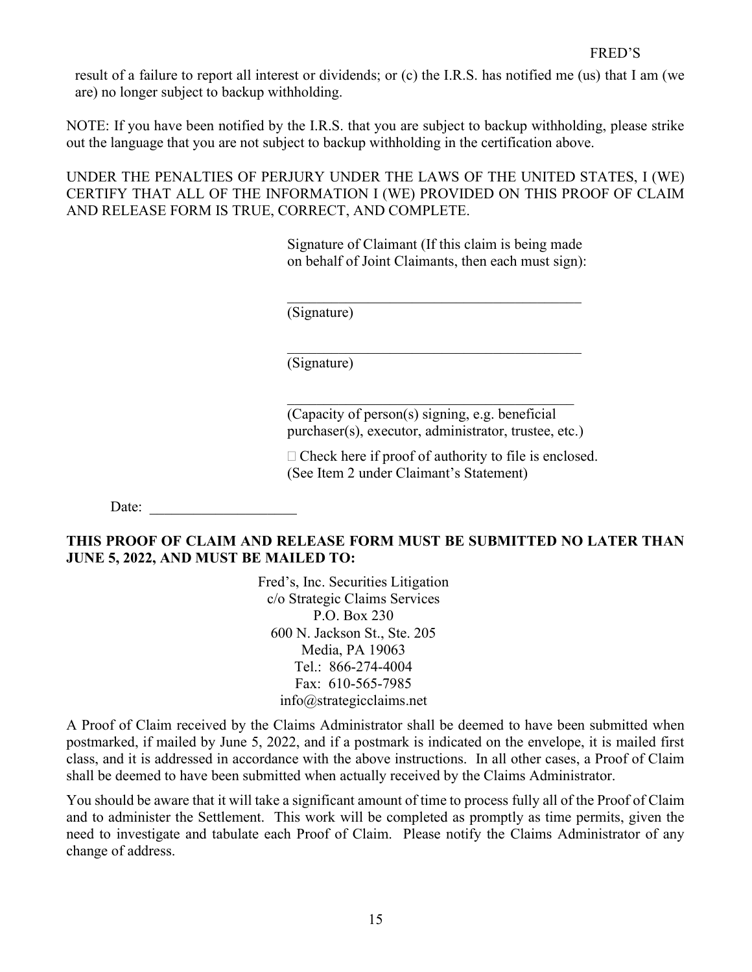result of a failure to report all interest or dividends; or (c) the I.R.S. has notified me (us) that I am (we are) no longer subject to backup withholding.

NOTE: If you have been notified by the I.R.S. that you are subject to backup withholding, please strike out the language that you are not subject to backup withholding in the certification above.

UNDER THE PENALTIES OF PERJURY UNDER THE LAWS OF THE UNITED STATES, I (WE) CERTIFY THAT ALL OF THE INFORMATION I (WE) PROVIDED ON THIS PROOF OF CLAIM AND RELEASE FORM IS TRUE, CORRECT, AND COMPLETE.

> Signature of Claimant (If this claim is being made on behalf of Joint Claimants, then each must sign):

(Signature)

(Signature)

(Capacity of person(s) signing, e.g. beneficial purchaser(s), executor, administrator, trustee, etc.)

 $\mathcal{L}_\text{max}$  and  $\mathcal{L}_\text{max}$  and  $\mathcal{L}_\text{max}$  and  $\mathcal{L}_\text{max}$ 

 $\Box$  Check here if proof of authority to file is enclosed. (See Item 2 under Claimant's Statement)

Date:

# THIS PROOF OF CLAIM AND RELEASE FORM MUST BE SUBMITTED NO LATER THAN JUNE 5, 2022, AND MUST BE MAILED TO:

Fred's, Inc. Securities Litigation c/o Strategic Claims Services P.O. Box 230 600 N. Jackson St., Ste. 205 Media, PA 19063 Tel.: 866-274-4004 Fax: 610-565-7985 info@strategicclaims.net

A Proof of Claim received by the Claims Administrator shall be deemed to have been submitted when postmarked, if mailed by June 5, 2022, and if a postmark is indicated on the envelope, it is mailed first class, and it is addressed in accordance with the above instructions. In all other cases, a Proof of Claim shall be deemed to have been submitted when actually received by the Claims Administrator.

You should be aware that it will take a significant amount of time to process fully all of the Proof of Claim and to administer the Settlement. This work will be completed as promptly as time permits, given the need to investigate and tabulate each Proof of Claim. Please notify the Claims Administrator of any change of address.